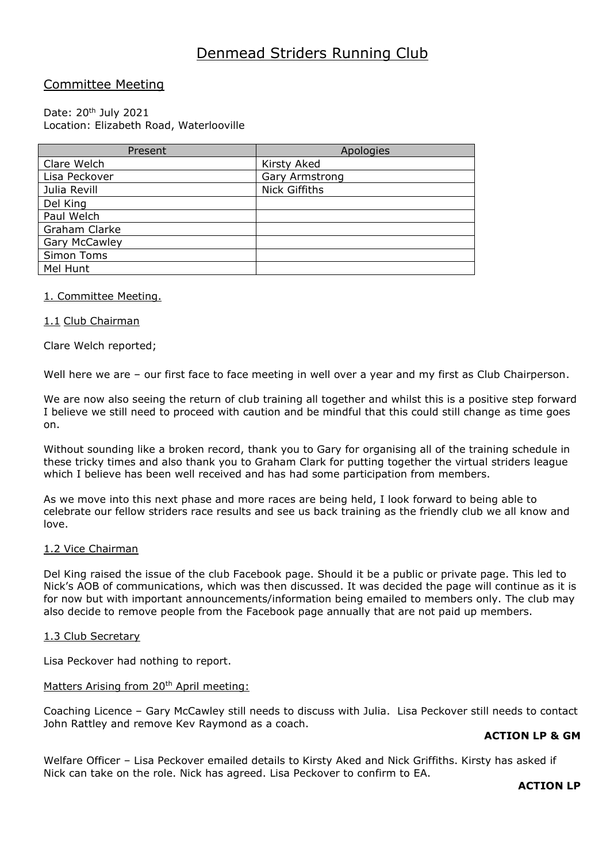# Denmead Striders Running Club

# Committee Meeting

## Date: 20<sup>th</sup> July 2021 Location: Elizabeth Road, Waterlooville

| Present              | Apologies      |
|----------------------|----------------|
| Clare Welch          | Kirsty Aked    |
| Lisa Peckover        | Gary Armstrong |
| Julia Revill         | Nick Giffiths  |
| Del King             |                |
| Paul Welch           |                |
| Graham Clarke        |                |
| <b>Gary McCawley</b> |                |
| Simon Toms           |                |
| Mel Hunt             |                |

## 1. Committee Meeting.

# 1.1 Club Chairman

Clare Welch reported;

Well here we are – our first face to face meeting in well over a year and my first as Club Chairperson.

We are now also seeing the return of club training all together and whilst this is a positive step forward I believe we still need to proceed with caution and be mindful that this could still change as time goes on.

Without sounding like a broken record, thank you to Gary for organising all of the training schedule in these tricky times and also thank you to Graham Clark for putting together the virtual striders league which I believe has been well received and has had some participation from members.

As we move into this next phase and more races are being held, I look forward to being able to celebrate our fellow striders race results and see us back training as the friendly club we all know and love.

## 1.2 Vice Chairman

Del King raised the issue of the club Facebook page. Should it be a public or private page. This led to Nick's AOB of communications, which was then discussed. It was decided the page will continue as it is for now but with important announcements/information being emailed to members only. The club may also decide to remove people from the Facebook page annually that are not paid up members.

## 1.3 Club Secretary

Lisa Peckover had nothing to report.

## Matters Arising from 20<sup>th</sup> April meeting:

Coaching Licence – Gary McCawley still needs to discuss with Julia. Lisa Peckover still needs to contact John Rattley and remove Kev Raymond as a coach.

## **ACTION LP & GM**

Welfare Officer – Lisa Peckover emailed details to Kirsty Aked and Nick Griffiths. Kirsty has asked if Nick can take on the role. Nick has agreed. Lisa Peckover to confirm to EA.

## **ACTION LP**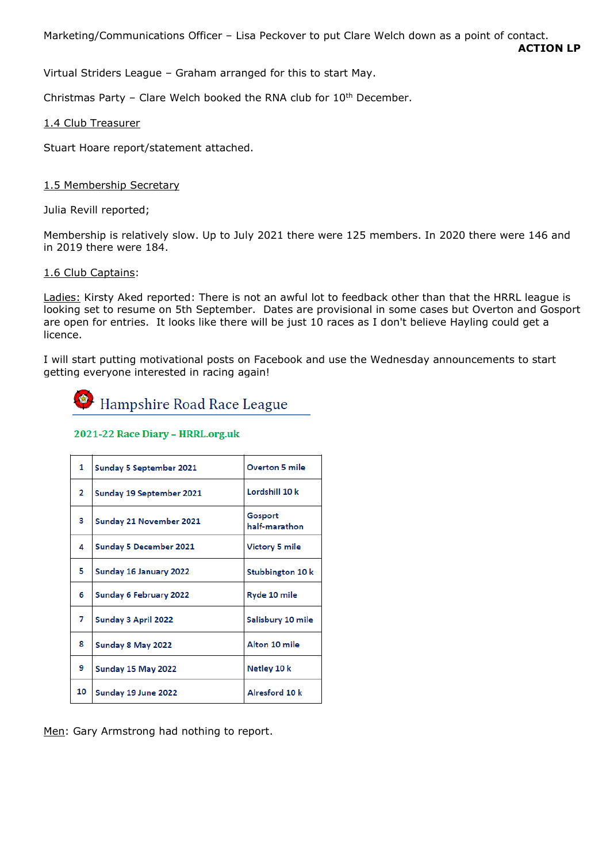Marketing/Communications Officer – Lisa Peckover to put Clare Welch down as a point of contact.

**ACTION LP**

Virtual Striders League – Graham arranged for this to start May.

Christmas Party – Clare Welch booked the RNA club for  $10<sup>th</sup>$  December.

1.4 Club Treasurer

Stuart Hoare report/statement attached.

# 1.5 Membership Secretary

Julia Revill reported;

Membership is relatively slow. Up to July 2021 there were 125 members. In 2020 there were 146 and in 2019 there were 184.

# 1.6 Club Captains:

Ladies: Kirsty Aked reported: There is not an awful lot to feedback other than that the HRRL league is looking set to resume on 5th September. Dates are provisional in some cases but Overton and Gosport are open for entries. It looks like there will be just 10 races as I don't believe Hayling could get a licence.

I will start putting motivational posts on Facebook and use the Wednesday announcements to start getting everyone interested in racing again!



# 2021-22 Race Diary - HRRL.org.uk

| 1  | Sunday 5 September 2021  | <b>Overton 5 mile</b>    |
|----|--------------------------|--------------------------|
| 2  | Sunday 19 September 2021 | Lordshill 10 k           |
| з  | Sunday 21 November 2021  | Gosport<br>half-marathon |
| 4  | Sunday 5 December 2021   | Victory 5 mile           |
| 5  | Sunday 16 January 2022   | Stubbington 10 k         |
| 6  | Sunday 6 February 2022   | Ryde 10 mile             |
| 7  | Sunday 3 April 2022      | Salisbury 10 mile        |
| 8  | Sunday 8 May 2022        | Alton 10 mile            |
| 9  | Sunday 15 May 2022       | Netley 10 k              |
| 10 | Sunday 19 June 2022      | Alresford 10 k           |

Men: Gary Armstrong had nothing to report.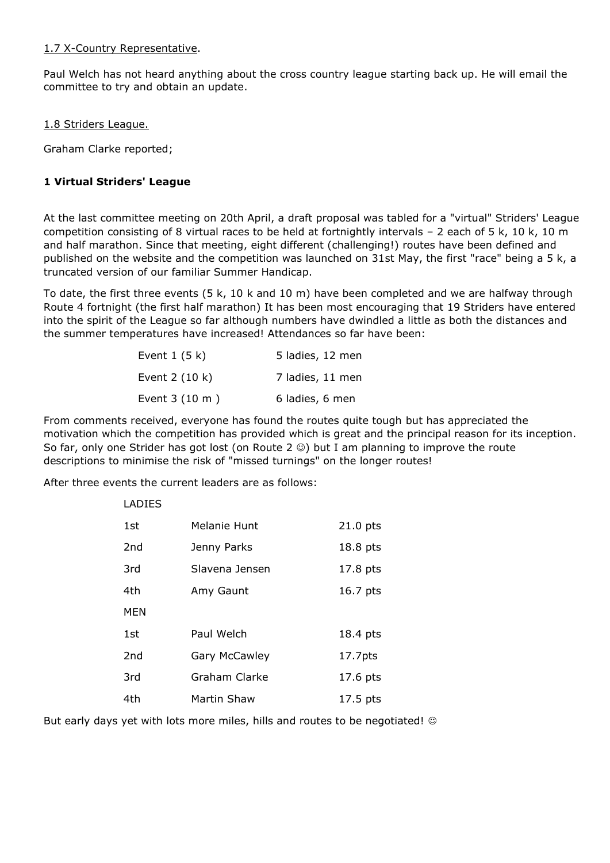# 1.7 X-Country Representative.

Paul Welch has not heard anything about the cross country league starting back up. He will email the committee to try and obtain an update.

# 1.8 Striders League.

Graham Clarke reported;

# **1 Virtual Striders' League**

At the last committee meeting on 20th April, a draft proposal was tabled for a "virtual" Striders' League competition consisting of 8 virtual races to be held at fortnightly intervals – 2 each of 5 k, 10 k, 10 m and half marathon. Since that meeting, eight different (challenging!) routes have been defined and published on the website and the competition was launched on 31st May, the first "race" being a 5 k, a truncated version of our familiar Summer Handicap.

To date, the first three events (5 k, 10 k and 10 m) have been completed and we are halfway through Route 4 fortnight (the first half marathon) It has been most encouraging that 19 Striders have entered into the spirit of the League so far although numbers have dwindled a little as both the distances and the summer temperatures have increased! Attendances so far have been:

| Event $1(5k)$           | 5 ladies, 12 men |
|-------------------------|------------------|
| Event $2(10 k)$         | 7 ladies, 11 men |
| Event $3(10 \text{ m})$ | 6 ladies, 6 men  |

From comments received, everyone has found the routes quite tough but has appreciated the motivation which the competition has provided which is great and the principal reason for its inception. So far, only one Strider has got lost (on Route 2  $\circledcirc$ ) but I am planning to improve the route descriptions to minimise the risk of "missed turnings" on the longer routes!

After three events the current leaders are as follows:

| LADIES          |                |                     |
|-----------------|----------------|---------------------|
| 1st             | Melanie Hunt   | $21.0$ pts          |
| 2nd             | Jenny Parks    | 18.8 pts            |
| 3rd             | Slavena Jensen | 17.8 pts            |
| 4th             | Amy Gaunt      | 16.7 pts            |
| <b>MEN</b>      |                |                     |
| 1st             | Paul Welch     | 18.4 pts            |
| 2 <sub>nd</sub> | Gary McCawley  | 17.7 <sub>pts</sub> |
| 3rd             | Graham Clarke  | 17.6 pts            |
| 4th             | Martin Shaw    | 17.5 pts            |

But early days yet with lots more miles, hills and routes to be negotiated! ©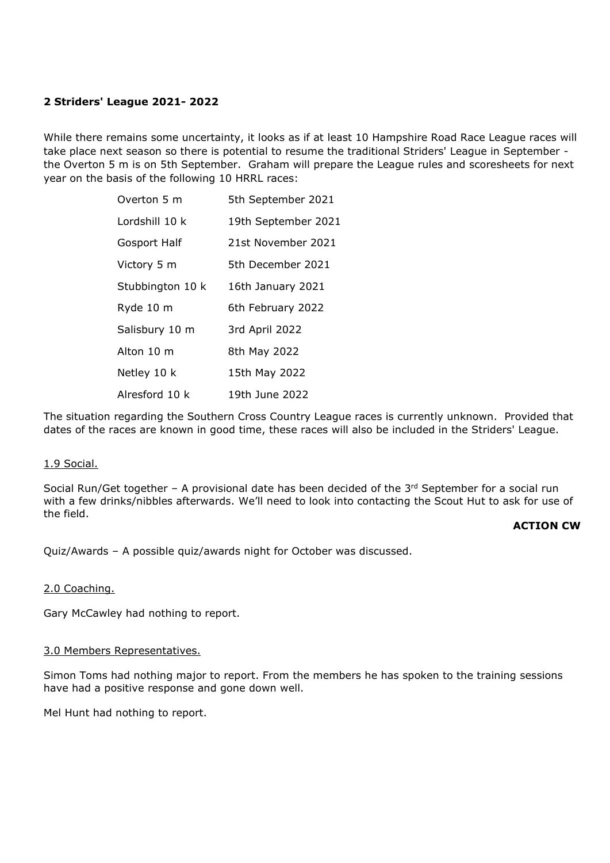# **2 Striders' League 2021- 2022**

While there remains some uncertainty, it looks as if at least 10 Hampshire Road Race League races will take place next season so there is potential to resume the traditional Striders' League in September the Overton 5 m is on 5th September. Graham will prepare the League rules and scoresheets for next year on the basis of the following 10 HRRL races:

| Overton 5 m      | 5th September 2021  |
|------------------|---------------------|
| Lordshill 10 k   | 19th September 2021 |
| Gosport Half     | 21st November 2021  |
| Victory 5 m      | 5th December 2021   |
| Stubbington 10 k | 16th January 2021   |
| Ryde 10 m        | 6th February 2022   |
| Salisbury 10 m   | 3rd April 2022      |
| Alton 10 m       | 8th May 2022        |
| Netley 10 k      | 15th May 2022       |
| Alresford 10 k   | 19th June 2022      |

The situation regarding the Southern Cross Country League races is currently unknown. Provided that dates of the races are known in good time, these races will also be included in the Striders' League.

## 1.9 Social.

Social Run/Get together  $-$  A provisional date has been decided of the  $3<sup>rd</sup>$  September for a social run with a few drinks/nibbles afterwards. We'll need to look into contacting the Scout Hut to ask for use of the field.

## **ACTION CW**

Quiz/Awards – A possible quiz/awards night for October was discussed.

## 2.0 Coaching.

Gary McCawley had nothing to report.

#### 3.0 Members Representatives.

Simon Toms had nothing major to report. From the members he has spoken to the training sessions have had a positive response and gone down well.

Mel Hunt had nothing to report.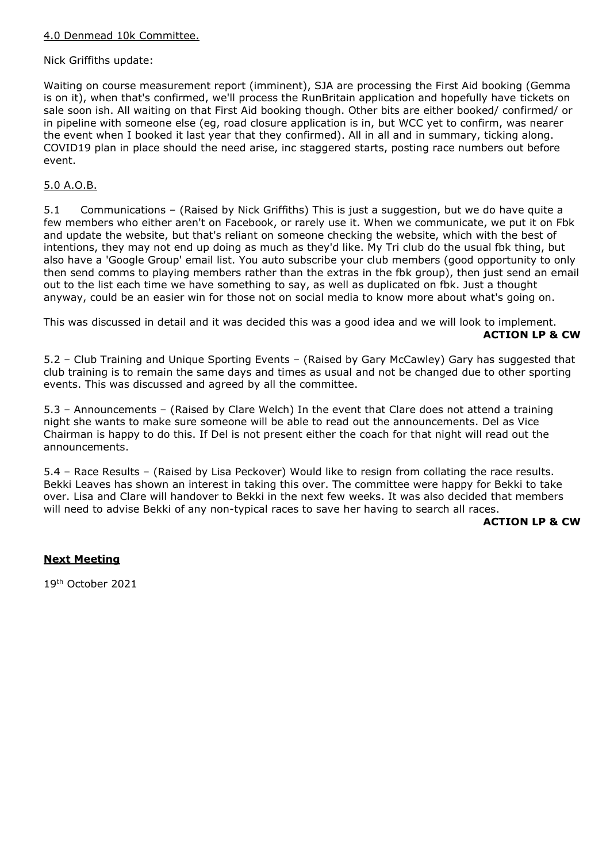# 4.0 Denmead 10k Committee.

# Nick Griffiths update:

Waiting on course measurement report (imminent), SJA are processing the First Aid booking (Gemma is on it), when that's confirmed, we'll process the RunBritain application and hopefully have tickets on sale soon ish. All waiting on that First Aid booking though. Other bits are either booked/ confirmed/ or in pipeline with someone else (eg, road closure application is in, but WCC yet to confirm, was nearer the event when I booked it last year that they confirmed). All in all and in summary, ticking along. COVID19 plan in place should the need arise, inc staggered starts, posting race numbers out before event.

# 5.0 A.O.B.

5.1 Communications – (Raised by Nick Griffiths) This is just a suggestion, but we do have quite a few members who either aren't on Facebook, or rarely use it. When we communicate, we put it on Fbk and update the website, but that's reliant on someone checking the website, which with the best of intentions, they may not end up doing as much as they'd like. My Tri club do the usual fbk thing, but also have a 'Google Group' email list. You auto subscribe your club members (good opportunity to only then send comms to playing members rather than the extras in the fbk group), then just send an email out to the list each time we have something to say, as well as duplicated on fbk. Just a thought anyway, could be an easier win for those not on social media to know more about what's going on.

This was discussed in detail and it was decided this was a good idea and we will look to implement. **ACTION LP & CW**

5.2 – Club Training and Unique Sporting Events – (Raised by Gary McCawley) Gary has suggested that club training is to remain the same days and times as usual and not be changed due to other sporting events. This was discussed and agreed by all the committee.

5.3 – Announcements – (Raised by Clare Welch) In the event that Clare does not attend a training night she wants to make sure someone will be able to read out the announcements. Del as Vice Chairman is happy to do this. If Del is not present either the coach for that night will read out the announcements.

5.4 – Race Results – (Raised by Lisa Peckover) Would like to resign from collating the race results. Bekki Leaves has shown an interest in taking this over. The committee were happy for Bekki to take over. Lisa and Clare will handover to Bekki in the next few weeks. It was also decided that members will need to advise Bekki of any non-typical races to save her having to search all races.

## **ACTION LP & CW**

## **Next Meeting**

19th October 2021